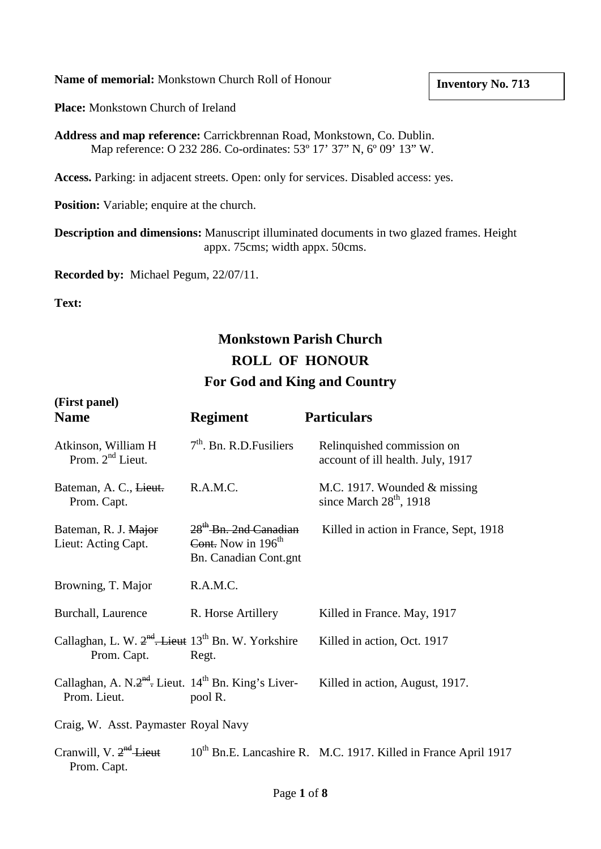**Name of memorial:** Monkstown Church Roll of Honour

**Place:** Monkstown Church of Ireland

**Address and map reference:** Carrickbrennan Road, Monkstown, Co. Dublin. Map reference: O 232 286. Co-ordinates: 53º 17' 37" N, 6º 09' 13" W.

**Access.** Parking: in adjacent streets. Open: only for services. Disabled access: yes.

**Position:** Variable; enquire at the church.

**Description and dimensions:** Manuscript illuminated documents in two glazed frames. Height appx. 75cms; width appx. 50cms.

**Recorded by:** Michael Pegum, 22/07/11.

**Text:**

## **Monkstown Parish Church ROLL OF HONOUR For God and King and Country**

| (First panel)<br><b>Name</b>                                                                    | <b>Regiment</b>                                                                    | <b>Particulars</b>                                                          |
|-------------------------------------------------------------------------------------------------|------------------------------------------------------------------------------------|-----------------------------------------------------------------------------|
| Atkinson, William H<br>Prom. $2nd$ Lieut.                                                       | $7th$ . Bn. R.D. Fusiliers                                                         | Relinquished commission on<br>account of ill health. July, 1917             |
| Bateman, A. C., Lieut.<br>Prom. Capt.                                                           | R.A.M.C.                                                                           | M.C. 1917. Wounded $&$ missing<br>since March 28 <sup>th</sup> , 1918       |
| Bateman, R. J. Major<br>Lieut: Acting Capt.                                                     | 28 <sup>th</sup> Bn. 2nd Canadian<br>Cont. Now in $196th$<br>Bn. Canadian Cont.gnt | Killed in action in France, Sept, 1918                                      |
| Browning, T. Major                                                                              | R.A.M.C.                                                                           |                                                                             |
| Burchall, Laurence                                                                              | R. Horse Artillery                                                                 | Killed in France. May, 1917                                                 |
| Callaghan, L. W. 2 <sup>nd</sup> . Lieut 13 <sup>th</sup> Bn. W. Yorkshire<br>Prom. Capt. Regt. |                                                                                    | Killed in action, Oct. 1917                                                 |
| Callaghan, A. N. $2^{nd}$ . Lieut. 14 <sup>th</sup> Bn. King's Liver-<br>Prom. Lieut.           | pool R.                                                                            | Killed in action, August, 1917.                                             |
| Craig, W. Asst. Paymaster Royal Navy                                                            |                                                                                    |                                                                             |
| Cranwill, V. $2^{nd}$ Lieut<br>Prom. Capt.                                                      |                                                                                    | 10 <sup>th</sup> Bn.E. Lancashire R. M.C. 1917. Killed in France April 1917 |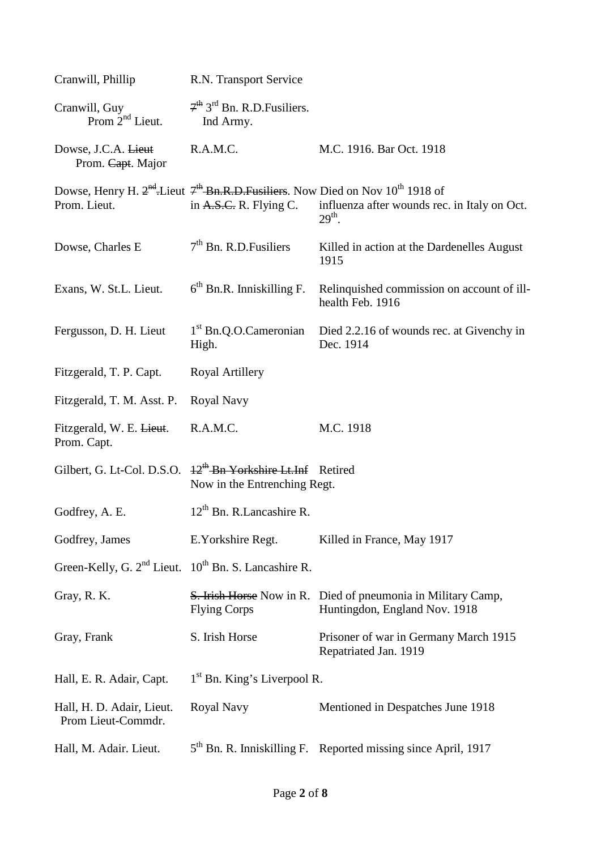| Cranwill, Phillip                                                                                                    | R.N. Transport Service                                                      |                                                                                                      |  |
|----------------------------------------------------------------------------------------------------------------------|-----------------------------------------------------------------------------|------------------------------------------------------------------------------------------------------|--|
| Cranwill, Guy<br>Prom $2nd$ Lieut.                                                                                   | $7th$ 3 <sup>rd</sup> Bn. R.D. Fusiliers.<br>Ind Army.                      |                                                                                                      |  |
| Dowse, J.C.A. Lieut<br>Prom. Capt. Major                                                                             | R.A.M.C.                                                                    | M.C. 1916. Bar Oct. 1918                                                                             |  |
| Dowse, Henry H. $2^{nd}$ -Lieut $7^{th}$ -Bn.R.D.Fusiliers. Now Died on Nov 10 <sup>th</sup> 1918 of<br>Prom. Lieut. | in A.S.C. R. Flying C.                                                      | influenza after wounds rec. in Italy on Oct.<br>$29th$ .                                             |  |
| Dowse, Charles E                                                                                                     | $7th$ Bn. R.D. Fusiliers                                                    | Killed in action at the Dardenelles August<br>1915                                                   |  |
| Exans, W. St.L. Lieut.                                                                                               | $6th$ Bn.R. Inniskilling F.                                                 | Relinquished commission on account of ill-<br>health Feb. 1916                                       |  |
| Fergusson, D. H. Lieut                                                                                               | 1 <sup>st</sup> Bn.Q.O.Cameronian<br>High.                                  | Died 2.2.16 of wounds rec. at Givenchy in<br>Dec. 1914                                               |  |
| Fitzgerald, T. P. Capt.                                                                                              | Royal Artillery                                                             |                                                                                                      |  |
| Fitzgerald, T. M. Asst. P.                                                                                           | Royal Navy                                                                  |                                                                                                      |  |
| Fitzgerald, W. E. Lieut.<br>Prom. Capt.                                                                              | R.A.M.C.                                                                    | M.C. 1918                                                                                            |  |
| Gilbert, G. Lt-Col. D.S.O.                                                                                           | <sup>12th</sup> Bn Yorkshire Lt.Inf Retired<br>Now in the Entrenching Regt. |                                                                                                      |  |
| Godfrey, A. E.                                                                                                       | $12th$ Bn. R. Lancashire R.                                                 |                                                                                                      |  |
| Godfrey, James                                                                                                       | E. Yorkshire Regt.                                                          | Killed in France, May 1917                                                                           |  |
| Green-Kelly, G. $2nd$ Lieut. $10th$ Bn. S. Lancashire R.                                                             |                                                                             |                                                                                                      |  |
| Gray, R. K.                                                                                                          | <b>Flying Corps</b>                                                         | <b>S. Irish Horse</b> Now in R. Died of pneumonia in Military Camp,<br>Huntingdon, England Nov. 1918 |  |
| Gray, Frank                                                                                                          | S. Irish Horse                                                              | Prisoner of war in Germany March 1915<br>Repatriated Jan. 1919                                       |  |
| Hall, E. R. Adair, Capt.                                                                                             | $1st$ Bn. King's Liverpool R.                                               |                                                                                                      |  |
| Hall, H. D. Adair, Lieut.<br>Prom Lieut-Commdr.                                                                      | Royal Navy                                                                  | Mentioned in Despatches June 1918                                                                    |  |
| Hall, M. Adair. Lieut.                                                                                               |                                                                             | 5 <sup>th</sup> Bn. R. Inniskilling F. Reported missing since April, 1917                            |  |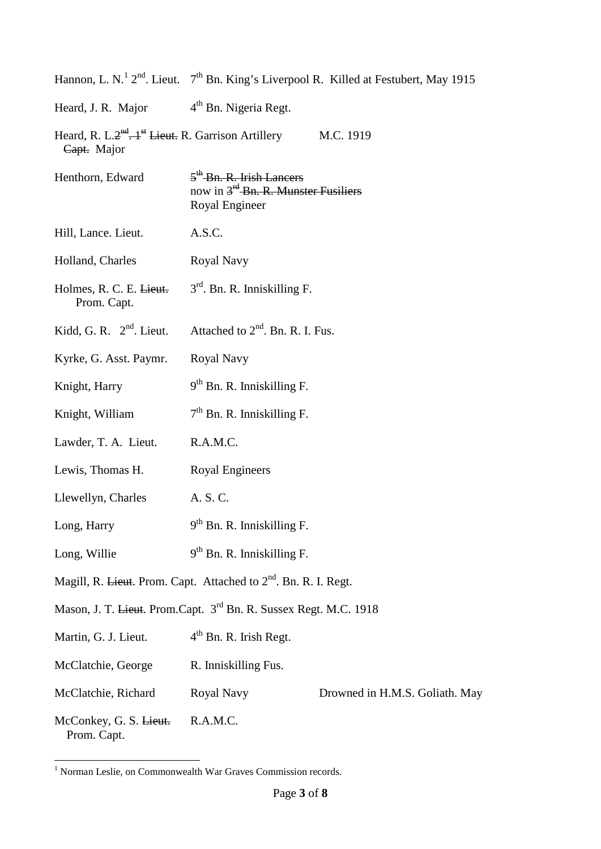|                                                                                                     |                                                                                                            | Hannon, L. N. <sup>1</sup> 2 <sup>nd</sup> . Lieut. $7th$ Bn. King's Liverpool R. Killed at Festubert, May 1915 |  |
|-----------------------------------------------------------------------------------------------------|------------------------------------------------------------------------------------------------------------|-----------------------------------------------------------------------------------------------------------------|--|
| Heard, J. R. Major $4^{th}$ Bn. Nigeria Regt.                                                       |                                                                                                            |                                                                                                                 |  |
| Heard, R. L.2 <sup>nd</sup> . + <sup>st</sup> Lieut. R. Garrison Artillery M.C. 1919<br>Capt. Major |                                                                                                            |                                                                                                                 |  |
| Henthorn, Edward                                                                                    | 5 <sup>th</sup> Bn. R. Irish Lancers<br>now in 3 <sup>rd</sup> -Bn. R. Munster Fusiliers<br>Royal Engineer |                                                                                                                 |  |
| Hill, Lance. Lieut.                                                                                 | A.S.C.                                                                                                     |                                                                                                                 |  |
| Holland, Charles                                                                                    | Royal Navy                                                                                                 |                                                                                                                 |  |
| Holmes, R. C. E. Lieut.<br>Prom. Capt.                                                              | $3rd$ . Bn. R. Inniskilling F.                                                                             |                                                                                                                 |  |
| Kidd, G. R. $2nd$ . Lieut.                                                                          | Attached to $2nd$ . Bn. R. I. Fus.                                                                         |                                                                                                                 |  |
| Kyrke, G. Asst. Paymr.                                                                              | Royal Navy                                                                                                 |                                                                                                                 |  |
| Knight, Harry                                                                                       | 9 <sup>th</sup> Bn. R. Inniskilling F.                                                                     |                                                                                                                 |  |
| Knight, William                                                                                     | $7th$ Bn. R. Inniskilling F.                                                                               |                                                                                                                 |  |
| Lawder, T. A. Lieut.                                                                                | R.A.M.C.                                                                                                   |                                                                                                                 |  |
| Lewis, Thomas H.                                                                                    | <b>Royal Engineers</b>                                                                                     |                                                                                                                 |  |
| Llewellyn, Charles                                                                                  | A. S. C.                                                                                                   |                                                                                                                 |  |
| Long, Harry                                                                                         | 9 <sup>th</sup> Bn. R. Inniskilling F.                                                                     |                                                                                                                 |  |
| Long, Willie                                                                                        | $9th$ Bn. R. Inniskilling F.                                                                               |                                                                                                                 |  |
| Magill, R. <del>Lieut</del> . Prom. Capt. Attached to 2 <sup>nd</sup> . Bn. R. I. Regt.             |                                                                                                            |                                                                                                                 |  |
| Mason, J. T. <del>Lieut</del> . Prom.Capt. 3 <sup>rd</sup> Bn. R. Sussex Regt. M.C. 1918            |                                                                                                            |                                                                                                                 |  |
| Martin, G. J. Lieut.                                                                                | $4th$ Bn. R. Irish Regt.                                                                                   |                                                                                                                 |  |
| McClatchie, George                                                                                  | R. Inniskilling Fus.                                                                                       |                                                                                                                 |  |
| McClatchie, Richard                                                                                 | Royal Navy                                                                                                 | Drowned in H.M.S. Goliath. May                                                                                  |  |
| McConkey, G. S. Lieut.<br>Prom. Capt.                                                               | R.A.M.C.                                                                                                   |                                                                                                                 |  |

 <sup>1</sup> Norman Leslie, on Commonwealth War Graves Commission records.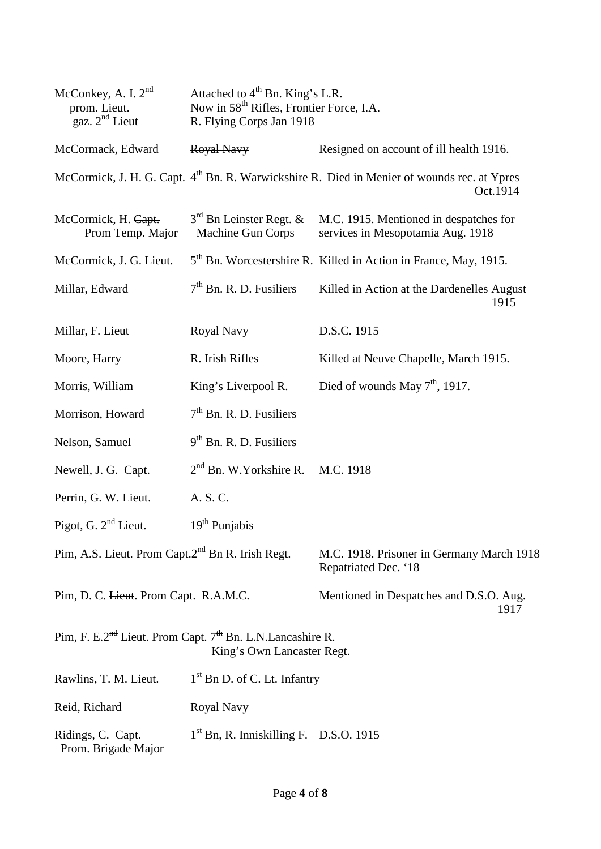| McConkey, A. I. 2 <sup>nd</sup><br>prom. Lieut.<br>gaz. $2nd$ Lieut                                              | Attached to 4 <sup>th</sup> Bn. King's L.R.<br>Now in 58 <sup>th</sup> Rifles, Frontier Force, I.A.<br>R. Flying Corps Jan 1918 |                                                                                                                     |  |
|------------------------------------------------------------------------------------------------------------------|---------------------------------------------------------------------------------------------------------------------------------|---------------------------------------------------------------------------------------------------------------------|--|
| McCormack, Edward                                                                                                | Royal Navy                                                                                                                      | Resigned on account of ill health 1916.                                                                             |  |
|                                                                                                                  |                                                                                                                                 | McCormick, J. H. G. Capt. 4 <sup>th</sup> Bn. R. Warwickshire R. Died in Menier of wounds rec. at Ypres<br>Oct.1914 |  |
| McCormick, H. Capt.<br>Prom Temp. Major                                                                          | $3rd$ Bn Leinster Regt. &<br>Machine Gun Corps                                                                                  | M.C. 1915. Mentioned in despatches for<br>services in Mesopotamia Aug. 1918                                         |  |
| McCormick, J. G. Lieut.                                                                                          |                                                                                                                                 | 5 <sup>th</sup> Bn. Worcestershire R. Killed in Action in France, May, 1915.                                        |  |
| Millar, Edward                                                                                                   | $7th$ Bn. R. D. Fusiliers                                                                                                       | Killed in Action at the Dardenelles August<br>1915                                                                  |  |
| Millar, F. Lieut                                                                                                 | Royal Navy                                                                                                                      | D.S.C. 1915                                                                                                         |  |
| Moore, Harry                                                                                                     | R. Irish Rifles                                                                                                                 | Killed at Neuve Chapelle, March 1915.                                                                               |  |
| Morris, William                                                                                                  | King's Liverpool R.                                                                                                             | Died of wounds May $7th$ , 1917.                                                                                    |  |
| Morrison, Howard                                                                                                 | 7 <sup>th</sup> Bn. R. D. Fusiliers                                                                                             |                                                                                                                     |  |
| Nelson, Samuel                                                                                                   | 9 <sup>th</sup> Bn. R. D. Fusiliers                                                                                             |                                                                                                                     |  |
| Newell, J. G. Capt.                                                                                              | $2nd$ Bn. W. Yorkshire R. M.C. 1918                                                                                             |                                                                                                                     |  |
| Perrin, G. W. Lieut.                                                                                             | A. S. C.                                                                                                                        |                                                                                                                     |  |
| Pigot, G. $2nd$ Lieut.                                                                                           | $19th$ Punjabis                                                                                                                 |                                                                                                                     |  |
| Pim, A.S. Lieut. Prom Capt.2 <sup>nd</sup> Bn R. Irish Regt.                                                     |                                                                                                                                 | M.C. 1918. Prisoner in Germany March 1918<br>Repatriated Dec. '18                                                   |  |
| Pim, D. C. Lieut. Prom Capt. R.A.M.C.                                                                            |                                                                                                                                 | Mentioned in Despatches and D.S.O. Aug.<br>1917                                                                     |  |
| Pim, F. E.2 <sup>nd</sup> Lieut. Prom Capt. 7 <sup>th</sup> Bn. L.N. Lancashire R.<br>King's Own Lancaster Regt. |                                                                                                                                 |                                                                                                                     |  |
| Rawlins, T. M. Lieut.                                                                                            | $1st$ Bn D. of C. Lt. Infantry                                                                                                  |                                                                                                                     |  |
| Reid, Richard                                                                                                    | Royal Navy                                                                                                                      |                                                                                                                     |  |
| Ridings, C. Capt.<br>Prom. Brigade Major                                                                         | $1st$ Bn, R. Inniskilling F. D.S.O. 1915                                                                                        |                                                                                                                     |  |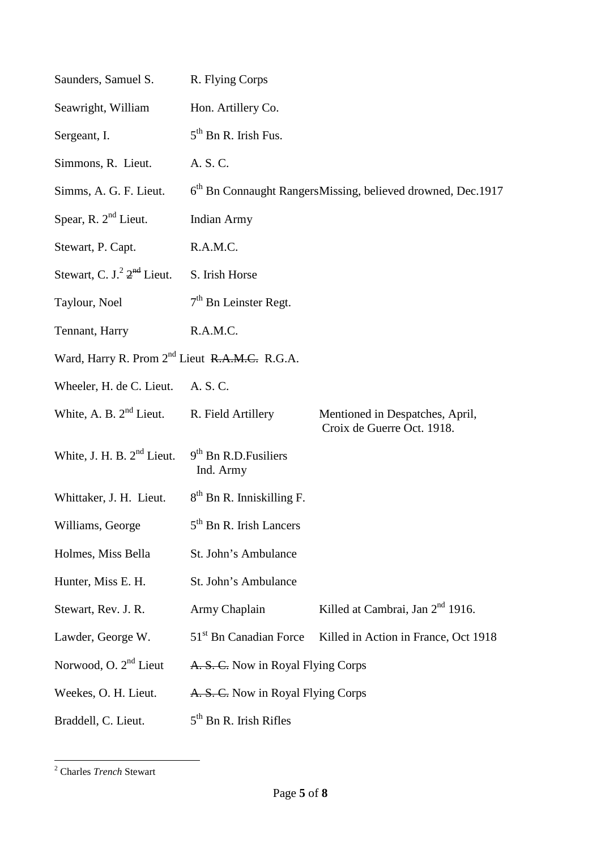| Saunders, Samuel S.                                               | R. Flying Corps                                                         |                                                               |  |
|-------------------------------------------------------------------|-------------------------------------------------------------------------|---------------------------------------------------------------|--|
| Seawright, William                                                | Hon. Artillery Co.                                                      |                                                               |  |
| Sergeant, I.                                                      | $5th$ Bn R. Irish Fus.                                                  |                                                               |  |
| Simmons, R. Lieut.                                                | A. S. C.                                                                |                                                               |  |
| Simms, A. G. F. Lieut.                                            | 6 <sup>th</sup> Bn Connaught RangersMissing, believed drowned, Dec.1917 |                                                               |  |
| Spear, R. $2nd$ Lieut.                                            | <b>Indian Army</b>                                                      |                                                               |  |
| Stewart, P. Capt.                                                 | R.A.M.C.                                                                |                                                               |  |
| Stewart, C. J. <sup>2</sup> 2 <sup>nd</sup> Lieut. S. Irish Horse |                                                                         |                                                               |  |
| Taylour, Noel                                                     | $7th$ Bn Leinster Regt.                                                 |                                                               |  |
| Tennant, Harry                                                    | R.A.M.C.                                                                |                                                               |  |
| Ward, Harry R. Prom 2 <sup>nd</sup> Lieut R.A.M.C. R.G.A.         |                                                                         |                                                               |  |
| Wheeler, H. de C. Lieut. A. S. C.                                 |                                                                         |                                                               |  |
| White, A. B. $2nd$ Lieut.                                         | R. Field Artillery                                                      | Mentioned in Despatches, April,<br>Croix de Guerre Oct. 1918. |  |
| White, J. H. B. $2^{nd}$ Lieut. $9^{th}$ Bn R.D. Fusiliers        | Ind. Army                                                               |                                                               |  |
| Whittaker, J. H. Lieut. 8 <sup>th</sup> Bn R. Inniskilling F.     |                                                                         |                                                               |  |
| Williams, George                                                  | 5 <sup>th</sup> Bn R. Irish Lancers                                     |                                                               |  |
| Holmes, Miss Bella                                                | St. John's Ambulance                                                    |                                                               |  |
| Hunter, Miss E. H.                                                | St. John's Ambulance                                                    |                                                               |  |
| Stewart, Rev. J. R.                                               | Army Chaplain                                                           | Killed at Cambrai, Jan 2 <sup>nd</sup> 1916.                  |  |
| Lawder, George W.                                                 | 51 <sup>st</sup> Bn Canadian Force                                      | Killed in Action in France, Oct 1918                          |  |
| Norwood, O. 2 <sup>nd</sup> Lieut                                 | A. S. C. Now in Royal Flying Corps                                      |                                                               |  |
| Weekes, O. H. Lieut.                                              | A. S. C. Now in Royal Flying Corps                                      |                                                               |  |
| Braddell, C. Lieut.                                               | $5th$ Bn R. Irish Rifles                                                |                                                               |  |

 <sup>2</sup> Charles *Trench* Stewart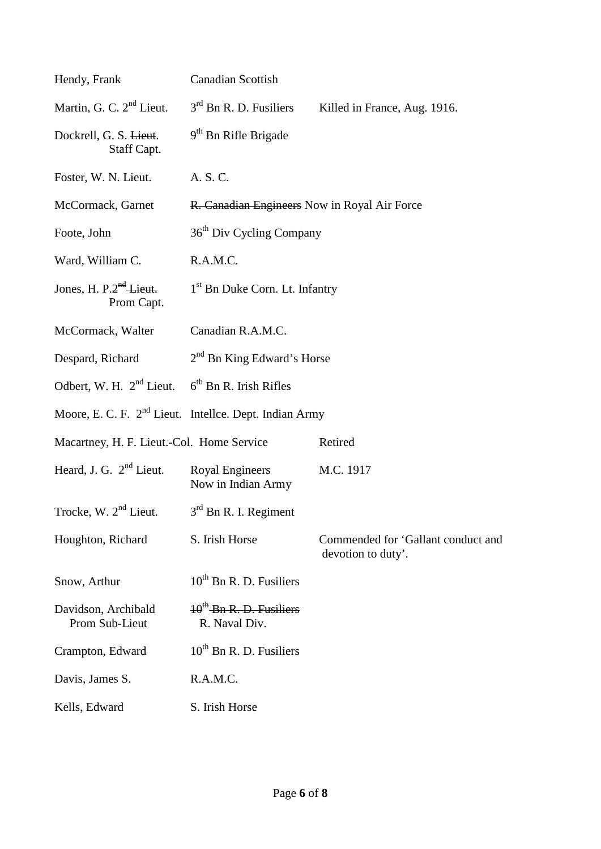| Hendy, Frank                                              | <b>Canadian Scottish</b>                                           |                                                          |  |
|-----------------------------------------------------------|--------------------------------------------------------------------|----------------------------------------------------------|--|
| Martin, G. C. $2nd$ Lieut.                                | $3rd$ Bn R. D. Fusiliers                                           | Killed in France, Aug. 1916.                             |  |
| Dockrell, G. S. Lieut.<br>Staff Capt.                     | $9th$ Bn Rifle Brigade                                             |                                                          |  |
| Foster, W. N. Lieut.                                      | A. S. C.                                                           |                                                          |  |
| McCormack, Garnet                                         | R. Canadian Engineers Now in Royal Air Force                       |                                                          |  |
| Foote, John                                               | 36 <sup>th</sup> Div Cycling Company                               |                                                          |  |
| Ward, William C.                                          | R.A.M.C.                                                           |                                                          |  |
| Jones, H. P. $2nd$ Lieut.<br>Prom Capt.                   | 1 <sup>st</sup> Bn Duke Corn. Lt. Infantry                         |                                                          |  |
| McCormack, Walter                                         | Canadian R.A.M.C.                                                  |                                                          |  |
| Despard, Richard                                          | $2nd$ Bn King Edward's Horse                                       |                                                          |  |
| Odbert, W. H. $2^{nd}$ Lieut. $6^{th}$ Bn R. Irish Rifles |                                                                    |                                                          |  |
|                                                           | Moore, E. C. F. 2 <sup>nd</sup> Lieut. Intellce. Dept. Indian Army |                                                          |  |
| Macartney, H. F. Lieut.-Col. Home Service                 |                                                                    | Retired                                                  |  |
| Heard, J. G. $2nd$ Lieut.                                 | <b>Royal Engineers</b><br>Now in Indian Army                       | M.C. 1917                                                |  |
| Trocke, W. $2nd$ Lieut.                                   | $3rd$ Bn R. I. Regiment                                            |                                                          |  |
| Houghton, Richard                                         | S. Irish Horse                                                     | Commended for 'Gallant conduct and<br>devotion to duty'. |  |
| Snow, Arthur                                              | $10^{th}$ Bn R. D. Fusiliers                                       |                                                          |  |
| Davidson, Archibald<br>Prom Sub-Lieut                     | $10^{th}$ -Bn R. D. Fusiliers<br>R. Naval Div.                     |                                                          |  |
| Crampton, Edward                                          | $10^{th}$ Bn R. D. Fusiliers                                       |                                                          |  |
| Davis, James S.                                           | R.A.M.C.                                                           |                                                          |  |
| Kells, Edward                                             | S. Irish Horse                                                     |                                                          |  |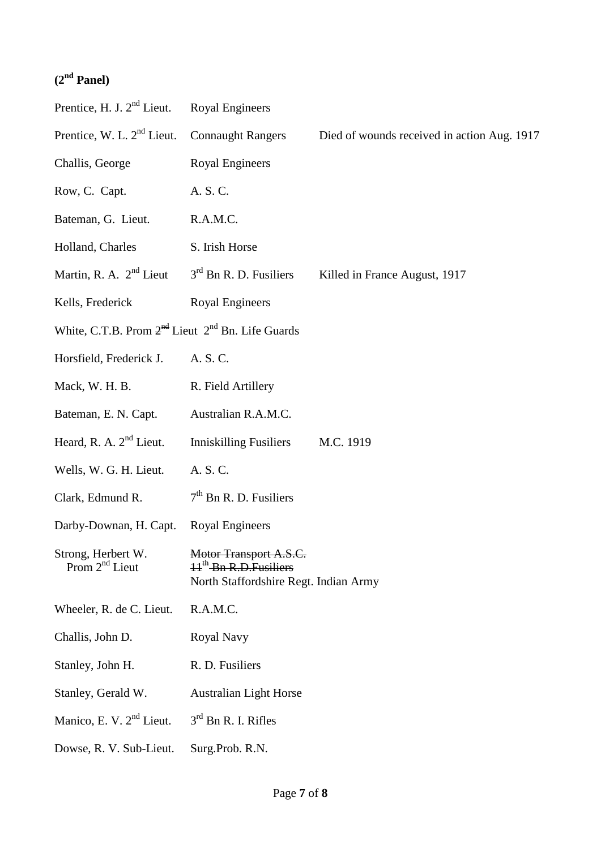## **(2nd Panel)**

| Prentice, H. J. 2 <sup>nd</sup> Lieut.                     | <b>Royal Engineers</b>                                                                      |                                             |
|------------------------------------------------------------|---------------------------------------------------------------------------------------------|---------------------------------------------|
| Prentice, W. L. 2 <sup>nd</sup> Lieut.                     | <b>Connaught Rangers</b>                                                                    | Died of wounds received in action Aug. 1917 |
| Challis, George                                            | <b>Royal Engineers</b>                                                                      |                                             |
| Row, C. Capt.                                              | A. S. C.                                                                                    |                                             |
| Bateman, G. Lieut.                                         | R.A.M.C.                                                                                    |                                             |
| Holland, Charles                                           | S. Irish Horse                                                                              |                                             |
| Martin, R. A. $2^{nd}$ Lieut $3^{rd}$ Bn R. D. Fusiliers   |                                                                                             | Killed in France August, 1917               |
| Kells, Frederick                                           | <b>Royal Engineers</b>                                                                      |                                             |
| White, C.T.B. Prom $2^{nd}$ Lieut $2^{nd}$ Bn. Life Guards |                                                                                             |                                             |
| Horsfield, Frederick J.                                    | A. S. C.                                                                                    |                                             |
| Mack, W. H. B.                                             | R. Field Artillery                                                                          |                                             |
| Bateman, E. N. Capt.                                       | Australian R.A.M.C.                                                                         |                                             |
| Heard, R. A. $2nd$ Lieut.                                  | <b>Inniskilling Fusiliers</b>                                                               | M.C. 1919                                   |
| Wells, W. G. H. Lieut.                                     | A. S. C.                                                                                    |                                             |
| Clark, Edmund R.                                           | $7th$ Bn R. D. Fusiliers                                                                    |                                             |
| Darby-Downan, H. Capt.                                     | <b>Royal Engineers</b>                                                                      |                                             |
| Strong, Herbert W.<br>Prom 2 <sup>nd</sup> Lieut           | Motor Transport A.S.C.<br>$Hth$ -Bn R.D. Fusiliers<br>North Staffordshire Regt. Indian Army |                                             |
| Wheeler, R. de C. Lieut.                                   | R.A.M.C.                                                                                    |                                             |
| Challis, John D.                                           | Royal Navy                                                                                  |                                             |
| Stanley, John H.                                           | R. D. Fusiliers                                                                             |                                             |
| Stanley, Gerald W.                                         | <b>Australian Light Horse</b>                                                               |                                             |
| Manico, E. V. 2 <sup>nd</sup> Lieut.                       | $3rd$ Bn R. I. Rifles                                                                       |                                             |
| Dowse, R. V. Sub-Lieut.                                    | Surg.Prob. R.N.                                                                             |                                             |